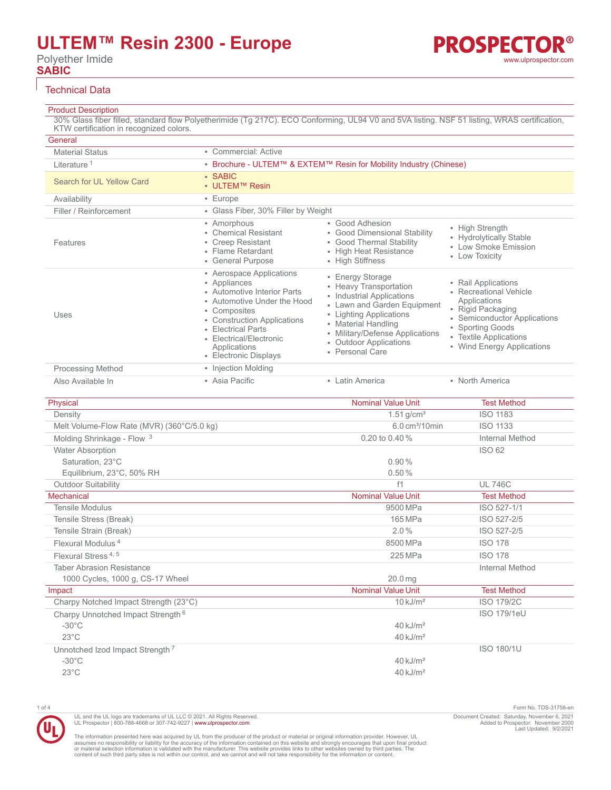# **ULTEM™ Resin 2300 - Europe**

Polyether Imide **SABIC**

#### Technical Data

### Product Description

30% Glass fiber filled, standard flow Polyetherimide (Tg 217C). ECO Conforming, UL94 V0 and 5VA listing. NSF 51 listing, WRAS certification, KTW certification in recognized colors.

| General                   |                                                                                                                                                                                                                                                 |                                                                                                                                                                                                                                          |                                                                                                                                                                                                |
|---------------------------|-------------------------------------------------------------------------------------------------------------------------------------------------------------------------------------------------------------------------------------------------|------------------------------------------------------------------------------------------------------------------------------------------------------------------------------------------------------------------------------------------|------------------------------------------------------------------------------------------------------------------------------------------------------------------------------------------------|
| <b>Material Status</b>    | • Commercial: Active                                                                                                                                                                                                                            |                                                                                                                                                                                                                                          |                                                                                                                                                                                                |
| Literature <sup>1</sup>   |                                                                                                                                                                                                                                                 | • Brochure - ULTEM™ & EXTEM™ Resin for Mobility Industry (Chinese)                                                                                                                                                                       |                                                                                                                                                                                                |
| Search for UL Yellow Card | • SABIC<br>• ULTEM™ Resin                                                                                                                                                                                                                       |                                                                                                                                                                                                                                          |                                                                                                                                                                                                |
| Availability              | $\cdot$ Europe                                                                                                                                                                                                                                  |                                                                                                                                                                                                                                          |                                                                                                                                                                                                |
| Filler / Reinforcement    | • Glass Fiber, 30% Filler by Weight                                                                                                                                                                                                             |                                                                                                                                                                                                                                          |                                                                                                                                                                                                |
| Features                  | • Amorphous<br>• Chemical Resistant<br>• Creep Resistant<br>• Flame Retardant<br>• General Purpose                                                                                                                                              | • Good Adhesion<br>• Good Dimensional Stability<br>• Good Thermal Stability<br>• High Heat Resistance<br>• High Stiffness                                                                                                                | • High Strength<br>• Hydrolytically Stable<br>• Low Smoke Emission<br>• Low Toxicity                                                                                                           |
| Uses                      | • Aerospace Applications<br>• Appliances<br>• Automotive Interior Parts<br>• Automotive Under the Hood<br>• Composites<br>• Construction Applications<br>• Electrical Parts<br>• Electrical/Electronic<br>Applications<br>• Electronic Displays | • Energy Storage<br>• Heavy Transportation<br>• Industrial Applications<br>• Lawn and Garden Equipment<br>• Lighting Applications<br>• Material Handling<br>• Military/Defense Applications<br>• Outdoor Applications<br>• Personal Care | • Rail Applications<br>• Recreational Vehicle<br>Applications<br>• Rigid Packaging<br>• Semiconductor Applications<br>• Sporting Goods<br>• Textile Applications<br>• Wind Energy Applications |
| <b>Processing Method</b>  | • Injection Molding                                                                                                                                                                                                                             |                                                                                                                                                                                                                                          |                                                                                                                                                                                                |
| Also Available In         | • Asia Pacific                                                                                                                                                                                                                                  | • Latin America                                                                                                                                                                                                                          | • North America                                                                                                                                                                                |

| Physical                                      | <b>Nominal Value Unit</b>  | <b>Test Method</b> |
|-----------------------------------------------|----------------------------|--------------------|
| Density                                       | $1.51$ g/cm <sup>3</sup>   | <b>ISO 1183</b>    |
| Melt Volume-Flow Rate (MVR) (360°C/5.0 kg)    | 6.0 cm <sup>3</sup> /10min | <b>ISO 1133</b>    |
| Molding Shrinkage - Flow 3                    | 0.20 to 0.40 %             | Internal Method    |
| <b>Water Absorption</b>                       |                            | ISO 62             |
| Saturation, 23°C                              | 0.90%                      |                    |
| Equilibrium, 23°C, 50% RH                     | 0.50%                      |                    |
| <b>Outdoor Suitability</b>                    | f1                         | <b>UL 746C</b>     |
| Mechanical                                    | <b>Nominal Value Unit</b>  | <b>Test Method</b> |
| <b>Tensile Modulus</b>                        | 9500 MPa                   | ISO 527-1/1        |
| Tensile Stress (Break)                        | 165 MPa                    | ISO 527-2/5        |
| Tensile Strain (Break)                        | 2.0%                       | ISO 527-2/5        |
| Flexural Modulus <sup>4</sup>                 | 8500 MPa                   | <b>ISO 178</b>     |
| Flexural Stress <sup>4,5</sup>                | 225 MPa                    | <b>ISO 178</b>     |
| <b>Taber Abrasion Resistance</b>              |                            | Internal Method    |
| 1000 Cycles, 1000 g, CS-17 Wheel              | 20.0 <sub>ma</sub>         |                    |
| Impact                                        | <b>Nominal Value Unit</b>  | <b>Test Method</b> |
| Charpy Notched Impact Strength (23°C)         | $10 \text{ kJ/m}^2$        | <b>ISO 179/2C</b>  |
| Charpy Unnotched Impact Strength <sup>6</sup> |                            | <b>ISO 179/1eU</b> |
| $-30^{\circ}$ C                               | $40$ kJ/m <sup>2</sup>     |                    |
| $23^{\circ}$ C                                | $40$ kJ/m <sup>2</sup>     |                    |
| Unnotched Izod Impact Strength <sup>7</sup>   |                            | <b>ISO 180/1U</b>  |
| $-30^{\circ}$ C                               | $40$ kJ/m <sup>2</sup>     |                    |
| $23^{\circ}$ C                                | $40$ kJ/m <sup>2</sup>     |                    |
|                                               |                            |                    |

1 of 4 Form No. TDS-31758-en Document Created: Saturday, November 6, 2021 Added to Prospector: November 2000 Last Updated: 9/2/2021

The information presented here was acquired by UL from the producer of the product or material or original information provider. However, UL<br>assumes no responsibility or liability for the accuracy of the information contai

UL and the UL logo are trademarks of UL LLC © 2021. All Rights Reserved. UL Prospector | 800-788-4668 or 307-742-9227 | [www.ulprospector.com](http://www.ulprospector.com).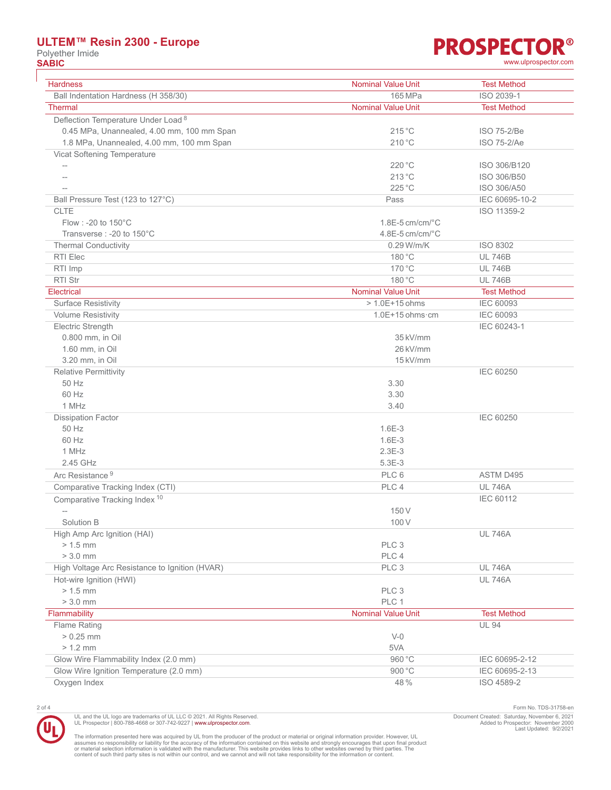# **ULTEM™ Resin 2300 - Europe**

Polyether Imide<br> **SABIC** 

# **PROSPECTOR® SABIC** [www.ulprospector.com](http://www.ulprospector.com)

| <b>Hardness</b>                                | <b>Nominal Value Unit</b>    | <b>Test Method</b> |
|------------------------------------------------|------------------------------|--------------------|
| Ball Indentation Hardness (H 358/30)           | 165 MPa                      | ISO 2039-1         |
| <b>Thermal</b>                                 | <b>Nominal Value Unit</b>    | <b>Test Method</b> |
| Deflection Temperature Under Load <sup>8</sup> |                              |                    |
| 0.45 MPa, Unannealed, 4.00 mm, 100 mm Span     | 215 °C                       | ISO 75-2/Be        |
| 1.8 MPa, Unannealed, 4.00 mm, 100 mm Span      | 210 °C                       | ISO 75-2/Ae        |
| Vicat Softening Temperature                    |                              |                    |
| $-\!$                                          | 220 °C                       | ISO 306/B120       |
| $-$                                            | 213 °C                       | ISO 306/B50        |
|                                                | 225 °C                       | ISO 306/A50        |
| Ball Pressure Test (123 to 127°C)              | Pass                         | IEC 60695-10-2     |
| <b>CLTE</b>                                    |                              | ISO 11359-2        |
| Flow: - 20 to 150°C                            | $1.8E-5$ cm/cm/ $°C$         |                    |
| Transverse : - 20 to 150°C                     | $4.8E-5$ cm/cm/ $^{\circ}$ C |                    |
| <b>Thermal Conductivity</b>                    | 0.29 W/m/K                   | ISO 8302           |
| RTI Elec                                       | 180 °C                       | <b>UL 746B</b>     |
| RTI Imp                                        | 170 °C                       | <b>UL 746B</b>     |
| <b>RTI Str</b>                                 | 180 °C                       | <b>UL 746B</b>     |
| <b>Electrical</b>                              | <b>Nominal Value Unit</b>    | <b>Test Method</b> |
| <b>Surface Resistivity</b>                     | $> 1.0E + 15$ ohms           | <b>IEC 60093</b>   |
| <b>Volume Resistivity</b>                      | $1.0E+15$ ohms $\cdot$ cm    | <b>IEC 60093</b>   |
| Electric Strength                              |                              | IEC 60243-1        |
| 0.800 mm, in Oil                               | 35 kV/mm                     |                    |
| 1.60 mm, in Oil                                | 26 kV/mm                     |                    |
| 3.20 mm, in Oil                                | 15 kV/mm                     |                    |
| <b>Relative Permittivity</b>                   |                              | IEC 60250          |
| 50 Hz                                          | 3.30                         |                    |
| 60 Hz                                          | 3.30                         |                    |
| 1 MHz                                          | 3.40                         |                    |
| <b>Dissipation Factor</b>                      |                              | <b>IEC 60250</b>   |
| 50 Hz                                          | $1.6E-3$                     |                    |
| 60 Hz                                          | $1.6E-3$                     |                    |
| 1 MHz                                          | $2.3E-3$                     |                    |
| 2.45 GHz                                       | $5.3E-3$                     |                    |
| Arc Resistance <sup>9</sup>                    | PLC 6                        | ASTM D495          |
| Comparative Tracking Index (CTI)               | PLC 4                        | <b>UL 746A</b>     |
| Comparative Tracking Index <sup>10</sup>       |                              | <b>IEC 60112</b>   |
| $\qquad \qquad -$                              | 150 V                        |                    |
| Solution B                                     | 100V                         |                    |
| High Amp Arc Ignition (HAI)                    |                              | <b>UL 746A</b>     |
| $> 1.5$ mm                                     | PLC <sub>3</sub>             |                    |
| $> 3.0$ mm                                     | PLC 4                        |                    |
| High Voltage Arc Resistance to Ignition (HVAR) | PLC 3                        | <b>UL 746A</b>     |
| Hot-wire Ignition (HWI)                        |                              | <b>UL 746A</b>     |
| $> 1.5$ mm                                     | PLC <sub>3</sub>             |                    |
| $> 3.0$ mm                                     | PLC 1                        |                    |
| Flammability                                   | <b>Nominal Value Unit</b>    | <b>Test Method</b> |
| Flame Rating                                   |                              | <b>UL 94</b>       |
| $> 0.25$ mm                                    | $V-0$                        |                    |
| $> 1.2$ mm                                     | 5VA                          |                    |
| Glow Wire Flammability Index (2.0 mm)          | 960 °C                       | IEC 60695-2-12     |
| Glow Wire Ignition Temperature (2.0 mm)        | 900 °C                       | IEC 60695-2-13     |
| Oxygen Index                                   | 48%                          | ISO 4589-2         |
|                                                |                              |                    |

UL and the UL logo are trademarks of UL LLC © 2021. All Rights Reserved.<br>UL Prospector | 800-788-4668 or 307-742-9227 | [www.ulprospector.com](http://www.ulprospector.com).

2 of 4 Form No. TDS-31758-en Document Created: Saturday, November 6, 2021 Added to Prospector: November 2000 Last Updated: 9/2/2021

The information presented here was acquired by UL from the producer of the product or material or original information provider. However, UL<br>assumes no responsibility or liability for the accuracy of the information contai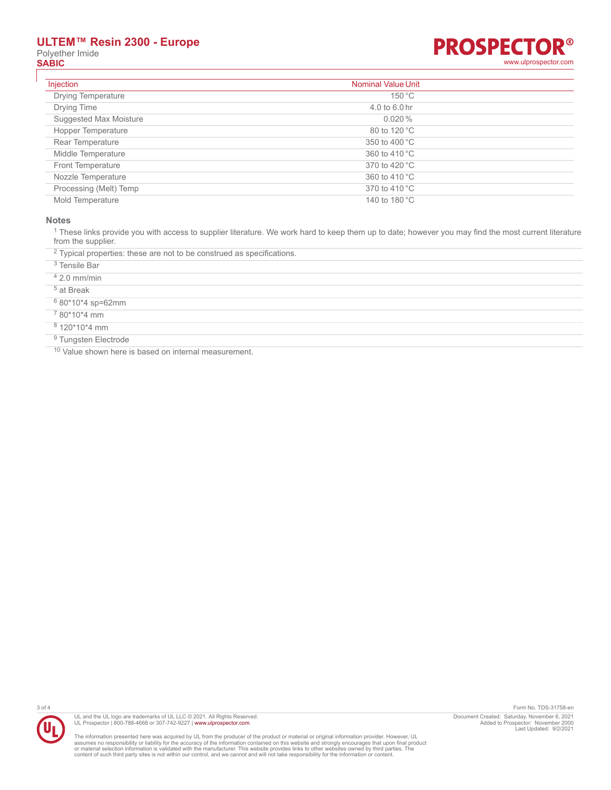# **ULTEM™ Resin 2300 - Europe** Polyether Imide<br> **SABIC**

## R® **PROSPECTO SABIC** [www.ulprospector.com](http://www.ulprospector.com)

| Injection                 | <b>Nominal Value Unit</b> |
|---------------------------|---------------------------|
| <b>Drying Temperature</b> | 150 °C                    |
| Drying Time               | $4.0$ to 6.0 hr           |
| Suggested Max Moisture    | $0.020\%$                 |
| Hopper Temperature        | 80 to 120 °C              |
| Rear Temperature          | 350 to 400 °C             |
| Middle Temperature        | 360 to 410 °C             |
| <b>Front Temperature</b>  | 370 to 420 °C             |
| Nozzle Temperature        | 360 to 410 °C             |
| Processing (Melt) Temp    | 370 to 410 °C             |
| Mold Temperature          | 140 to 180 °C             |

#### **Notes**

 $^1$  These links provide you with access to supplier literature. We work hard to keep them up to date; however you may find the most current literature from the supplier.

 $2$  Typical properties: these are not to be construed as specifications.

| <sup>3</sup> Tensile Bar        |
|---------------------------------|
| $42.0$ mm/min                   |
| $5$ at Break                    |
| <sup>6</sup> 80*10*4 sp=62mm    |
| <sup>7</sup> 80*10*4 mm         |
| $8120*10*4$ mm                  |
| <sup>9</sup> Tungsten Electrode |

<sup>10</sup> Value shown here is based on internal measurement.



UL and the UL logo are trademarks of UL LLC © 2021. All Rights Reserved.<br>UL Prospector | 800-788-4668 or 307-742-9227 | [www.ulprospector.com](http://www.ulprospector.com).

The information presented here was acquired by UL from the producer of the product or material or original information provider. However, UL<br>assumes no responsibility or liability for the accuracy of the information contai

3 of 4 Form No. TDS-31758-en Document Created: Saturday, November 6, 2021 Added to Prospector: November 2000 Last Updated: 9/2/2021